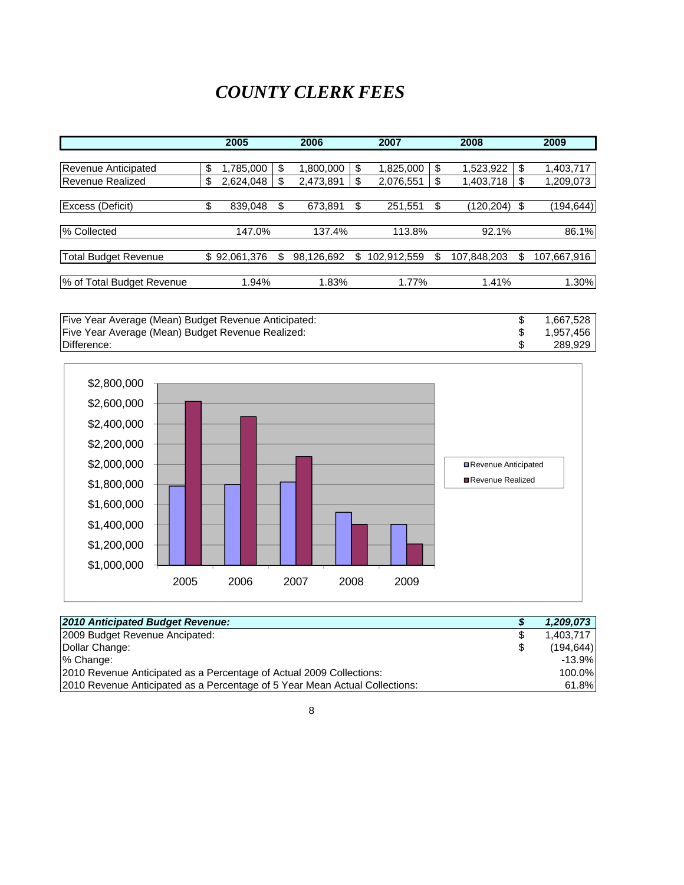### *COUNTY CLERK FEES*

|                             | 2005            | 2006            |    | 2007        |    | 2008        | 2009              |
|-----------------------------|-----------------|-----------------|----|-------------|----|-------------|-------------------|
|                             |                 |                 |    |             |    |             |                   |
| Revenue Anticipated         | \$<br>1,785,000 | \$<br>1,800,000 | \$ | 1,825,000   | \$ | 1,523,922   | \$<br>1,403,717   |
| <b>Revenue Realized</b>     | \$<br>2,624,048 | 2,473,891       | \$ | 2,076,551   | \$ | 1,403,718   | \$<br>1,209,073   |
|                             |                 |                 |    |             |    |             |                   |
| Excess (Deficit)            | \$<br>839,048   | 673,891         | \$ | 251,551     | \$ | (120, 204)  | \$<br>(194,644)   |
|                             |                 |                 |    |             |    |             |                   |
| % Collected                 | 147.0%          | 137.4%          |    | 113.8%      |    | 92.1%       | 86.1%             |
|                             |                 |                 |    |             |    |             |                   |
| <b>Total Budget Revenue</b> | \$92,061,376    | 98,126,692      | S  | 102,912,559 | S  | 107,848,203 | \$<br>107,667,916 |
|                             |                 |                 |    |             |    |             |                   |
| % of Total Budget Revenue   | 1.94%           | 1.83%           |    | 1.77%       |    | 1.41%       | 1.30%             |

Five Year Average (Mean) Budget Revenue Anticipated: <br>
Five Year Average (Mean) Budget Revenue Realized: 1,667,528 \$1,957,456 Five Year Average (Mean) Budget Revenue Realized:<br>
Difference: \$289,929 Difference: \$ 289,929



| 2010 Anticipated Budget Revenue:                                            | S | 1,209,073  |
|-----------------------------------------------------------------------------|---|------------|
| 2009 Budget Revenue Ancipated:                                              | S | 1.403.717  |
| Dollar Change:                                                              |   | (194, 644) |
| % Change:                                                                   |   | $-13.9%$   |
| 2010 Revenue Anticipated as a Percentage of Actual 2009 Collections:        |   | 100.0%     |
| 2010 Revenue Anticipated as a Percentage of 5 Year Mean Actual Collections: |   | 61.8%      |

8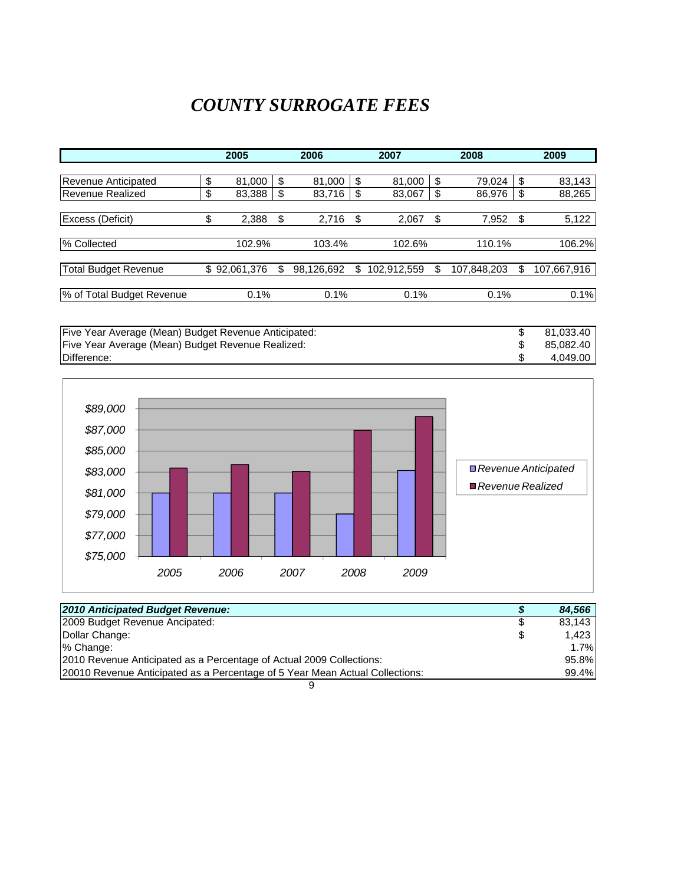# *COUNTY SURROGATE FEES*

|                           | 2005         |        |    | 2006       | 2007              |    | 2008        | 2009              |  |
|---------------------------|--------------|--------|----|------------|-------------------|----|-------------|-------------------|--|
|                           |              |        |    |            |                   |    |             |                   |  |
| Revenue Anticipated       | \$           | 81,000 | \$ | 81,000     | \$<br>81,000      | \$ | 79,024      | \$<br>83,143      |  |
| <b>Revenue Realized</b>   | \$           | 83,388 | S  | 83,716     | \$<br>83,067      | \$ | 86,976      | \$<br>88,265      |  |
|                           |              |        |    |            |                   |    |             |                   |  |
| Excess (Deficit)          | \$           | 2,388  | \$ | 2,716      | \$<br>2,067       | \$ | 7,952       | \$<br>5,122       |  |
| % Collected               |              | 102.9% |    | 103.4%     | 102.6%            |    | 110.1%      | 106.2%            |  |
|                           |              |        |    |            |                   |    |             |                   |  |
| Total Budget Revenue      | \$92,061,376 |        | S  | 98,126,692 | \$<br>102,912,559 | S  | 107,848,203 | \$<br>107,667,916 |  |
| % of Total Budget Revenue |              | 0.1%   |    | 0.1%       | 0.1%              |    | 0.1%        | 0.1%              |  |

Five Year Average (Mean) Budget Revenue Anticipated:  $$81,033.40$ <br>Five Year Average (Mean) Budget Revenue Realized:  $$85,082.40$ <br>Difference:  $$4,049.00$ Five Year Average (Mean) Budget Revenue Realized:<br>Difference: Difference: \$ 4,049.00



| 2010 Anticipated Budget Revenue:                                             | 84,566       |
|------------------------------------------------------------------------------|--------------|
| 2009 Budget Revenue Ancipated:                                               | \$<br>83.143 |
| Dollar Change:                                                               | \$<br>1.423  |
| % Change:                                                                    | 1.7%         |
| 2010 Revenue Anticipated as a Percentage of Actual 2009 Collections:         | 95.8%        |
| 20010 Revenue Anticipated as a Percentage of 5 Year Mean Actual Collections: | 99.4%        |
|                                                                              |              |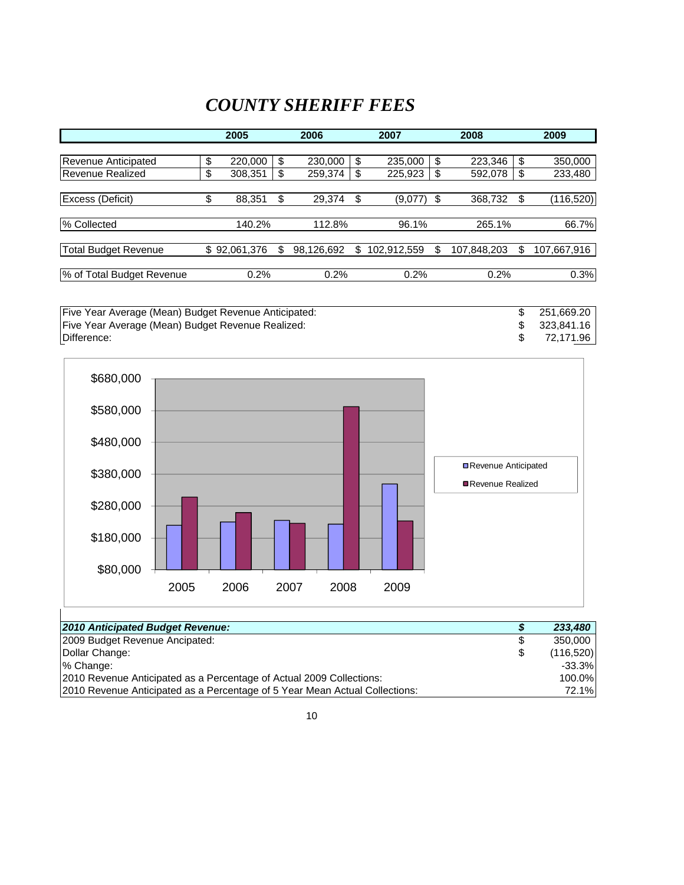# *COUNTY SHERIFF FEES*

|                             | 2005             |    | 2006       |    | 2007        |      | 2008        |    | 2009        |
|-----------------------------|------------------|----|------------|----|-------------|------|-------------|----|-------------|
|                             |                  |    |            |    |             |      |             |    |             |
| Revenue Anticipated         | \$<br>220,000    | \$ | 230,000    | \$ | 235,000     | \$   | 223,346     | S  | 350,000     |
| Revenue Realized            | \$<br>308,351    | S  | 259,374    | S  | 225,923     | \$   | 592,078     | \$ | 233,480     |
|                             |                  |    |            |    |             |      |             |    |             |
| Excess (Deficit)            | \$<br>88,351     | \$ | 29,374     | \$ | (9,077)     | - \$ | 368,732     | S  | (116, 520)  |
| % Collected                 | 140.2%           |    | 112.8%     |    | 96.1%       |      | 265.1%      |    | 66.7%       |
|                             |                  |    |            |    |             |      |             |    |             |
| <b>Total Budget Revenue</b> | \$<br>92,061,376 |    | 98,126,692 | S  | 102,912,559 | S    | 107,848,203 | S  | 107,667,916 |
|                             |                  |    |            |    |             |      |             |    |             |
| % of Total Budget Revenue   | 0.2%             |    | 0.2%       |    | 0.2%        |      | 0.2%        |    | 0.3%        |

Five Year Average (Mean) Budget Revenue Anticipated: 251,669.20 \$ Five Year Average (Mean) Budget Revenue Realized: 323,841.16 \$ Difference: \$ 72,171.96



| 2010 Anticipated Budget Revenue:                                            |   | 233,480    |
|-----------------------------------------------------------------------------|---|------------|
| 2009 Budget Revenue Ancipated:                                              | S | 350,000    |
| Dollar Change:                                                              | S | (116, 520) |
| % Change:                                                                   |   | $-33.3\%$  |
| 2010 Revenue Anticipated as a Percentage of Actual 2009 Collections:        |   | 100.0%     |
| 2010 Revenue Anticipated as a Percentage of 5 Year Mean Actual Collections: |   | 72.1%      |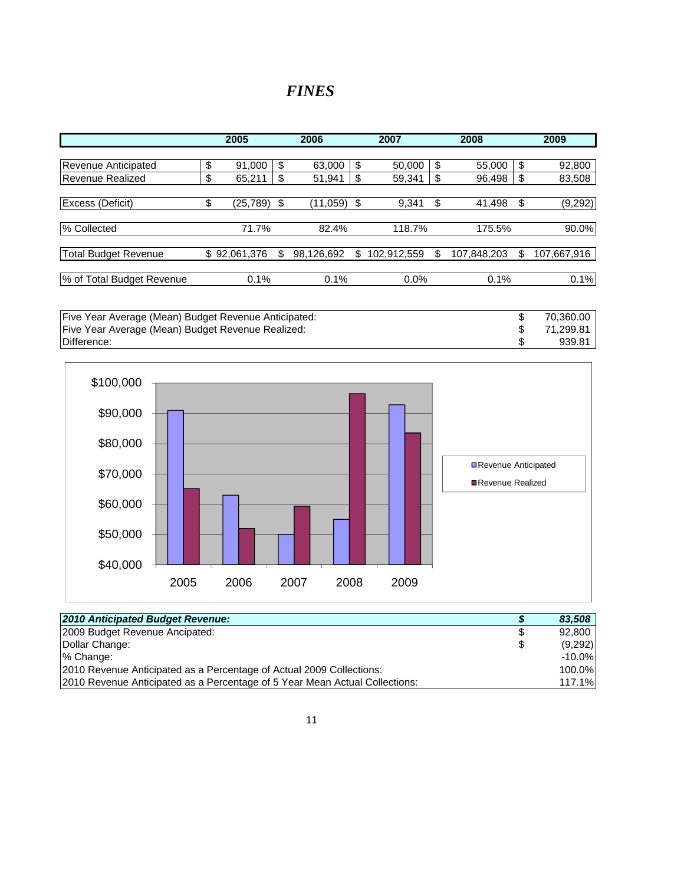#### *FINES*

|                             | 2005           |     | 2006       | 2007              |    | 2008        |    | 2009        |
|-----------------------------|----------------|-----|------------|-------------------|----|-------------|----|-------------|
|                             |                |     |            |                   |    |             |    |             |
| Revenue Anticipated         | \$<br>91,000   | \$  | 63,000     | \$<br>50,000      | \$ | 55,000      | \$ | 92,800      |
| Revenue Realized            | \$<br>65,211   | \$  | 51,941     | \$<br>59,341      | \$ | 96,498      | \$ | 83,508      |
|                             |                |     |            |                   |    |             |    |             |
| Excess (Deficit)            | \$<br>(25,789) | -\$ | (11,059)   | \$<br>9,341       | \$ | 41,498      | \$ | (9, 292)    |
| % Collected                 | 71.7%          |     | 82.4%      | 118.7%            |    | 175.5%      |    | 90.0%       |
| <b>Total Budget Revenue</b> | \$92,061,376   |     | 98,126,692 | \$<br>102,912,559 | S  | 107,848,203 | S  | 107,667,916 |
|                             |                |     |            |                   |    |             |    |             |
| % of Total Budget Revenue   | 0.1%           |     | 0.1%       | 0.0%              |    | 0.1%        |    | 0.1%        |

Five Year Average (Mean) Budget Revenue Anticipated: 70,360.00 \$ Five Year Average (Mean) Budget Revenue Realized: 71,299.81 \$ Difference: \$ 939.81



| 2010 Anticipated Budget Revenue:                                            | 83,508        |
|-----------------------------------------------------------------------------|---------------|
| 2009 Budget Revenue Ancipated:                                              | \$<br>92,800  |
| Dollar Change:                                                              | \$<br>(9,292) |
| % Change:                                                                   | $-10.0\%$     |
| 2010 Revenue Anticipated as a Percentage of Actual 2009 Collections:        | 100.0%        |
| 2010 Revenue Anticipated as a Percentage of 5 Year Mean Actual Collections: | 117.1%        |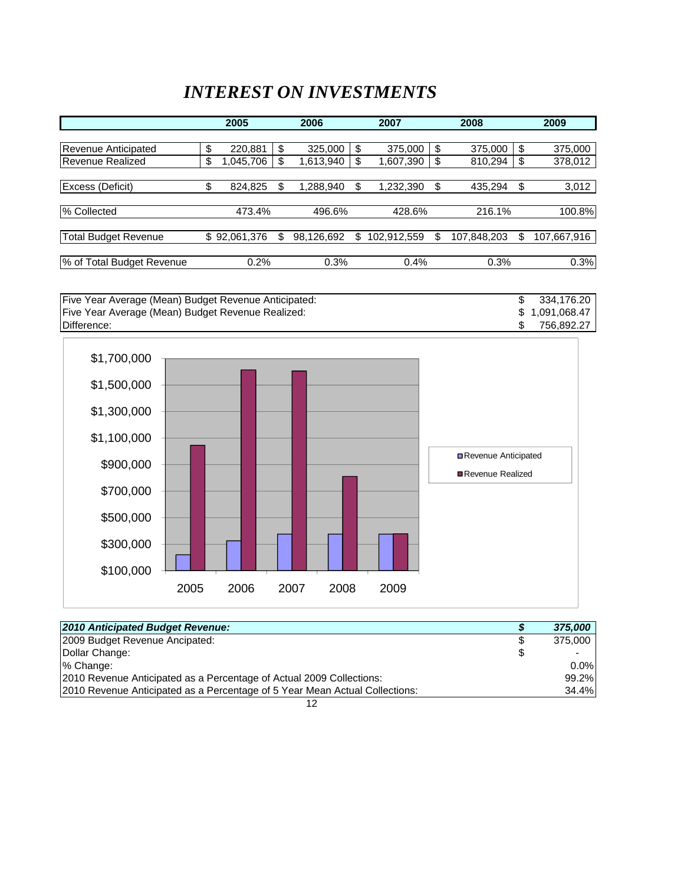### *INTEREST ON INVESTMENTS*

|                             | 2005            | 2006            |     | 2007        | 2008              | 2009              |
|-----------------------------|-----------------|-----------------|-----|-------------|-------------------|-------------------|
|                             |                 |                 |     |             |                   |                   |
| Revenue Anticipated         | \$<br>220,881   | \$<br>325,000   | \$  | 375,000     | \$<br>375,000     | \$<br>375,000     |
| Revenue Realized            | \$<br>1,045,706 | \$<br>1,613,940 | \$  | 1,607,390   | \$<br>810,294     | \$<br>378,012     |
|                             |                 |                 |     |             |                   |                   |
| Excess (Deficit)            | \$<br>824,825   | \$<br>1,288,940 | \$. | 1,232,390   | \$<br>435,294     | \$<br>3,012       |
| % Collected                 | 473.4%          | 496.6%          |     | 428.6%      | 216.1%            | 100.8%            |
| <b>Total Budget Revenue</b> | \$92,061,376    | 98,126,692      | S   | 102,912,559 | \$<br>107,848,203 | \$<br>107,667,916 |
|                             |                 |                 |     |             |                   |                   |
| % of Total Budget Revenue   | 0.2%            | 0.3%            |     | 0.4%        | 0.3%              | 0.3%              |

Five Year Average (Mean) Budget Revenue Anticipated: 334,176.20 \$ Five Year Average (Mean) Budget Revenue Realized: 1,091,068.47 \$ Difference: \$ 756,892.27



| 2009 Budget Revenue Ancipated:<br>- \$<br>\$                                                        | 2010 Anticipated Budget Revenue: | 375,000 |
|-----------------------------------------------------------------------------------------------------|----------------------------------|---------|
| Dollar Change:<br>% Change:<br>2010 Revenue Anticipated as a Percentage of Actual 2009 Collections: |                                  | 375,000 |
|                                                                                                     |                                  |         |
|                                                                                                     |                                  | $0.0\%$ |
|                                                                                                     |                                  | 99.2%   |
| 2010 Revenue Anticipated as a Percentage of 5 Year Mean Actual Collections:                         |                                  | 34.4%   |

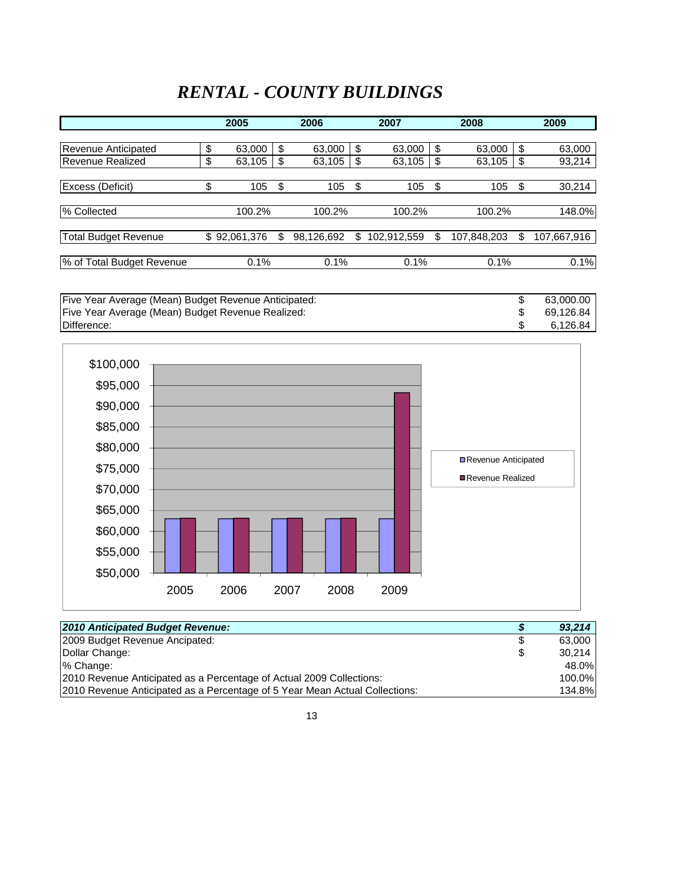# *RENTAL - COUNTY BUILDINGS*

| 2005 |                                                           | 2006       | 2007              |    | 2008        |                | 2009        |
|------|-----------------------------------------------------------|------------|-------------------|----|-------------|----------------|-------------|
|      |                                                           |            |                   |    |             |                |             |
| \$   | \$                                                        | 63,000     | \$<br>63,000      | \$ | 63,000      | \$             | 63,000      |
| \$   | S                                                         | 63,105     | \$<br>63,105      |    | 63,105      | \$             | 93,214      |
|      |                                                           |            |                   |    |             |                |             |
| \$   | \$                                                        | 105        | \$<br>105         | \$ | 105         | \$             | 30,214      |
|      |                                                           |            |                   |    |             |                |             |
|      |                                                           | 100.2%     | 100.2%            |    |             |                | 148.0%      |
|      |                                                           |            |                   |    |             |                |             |
|      |                                                           | 98,126,692 | \$<br>102,912,559 | S  | 107,848,203 | \$             | 107,667,916 |
|      |                                                           |            |                   |    |             |                |             |
|      |                                                           | 0.1%       | 0.1%              |    |             |                | 0.1%        |
|      | 63,000<br>63,105<br>105<br>100.2%<br>\$92,061,376<br>0.1% |            |                   |    |             | 100.2%<br>0.1% |             |

| Five Year Average (Mean) Budget Revenue Anticipated: | 63.000.00 |
|------------------------------------------------------|-----------|
| Five Year Average (Mean) Budget Revenue Realized:    | 69.126.84 |
| Difference:                                          | 6.126.84  |



| 2010 Anticipated Budget Revenue:                                            |   | 93.214 |
|-----------------------------------------------------------------------------|---|--------|
| 2009 Budget Revenue Ancipated:                                              | S | 63.000 |
| Dollar Change:                                                              | S | 30.214 |
| % Change:                                                                   |   | 48.0%  |
| 2010 Revenue Anticipated as a Percentage of Actual 2009 Collections:        |   | 100.0% |
| 2010 Revenue Anticipated as a Percentage of 5 Year Mean Actual Collections: |   | 134.8% |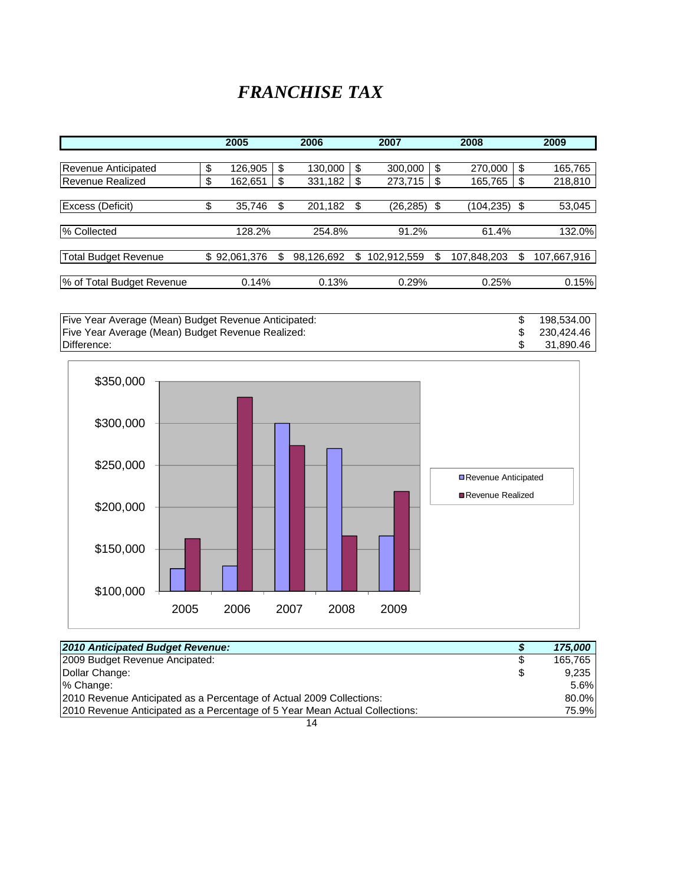### *FRANCHISE TAX*

|                             | 2005  |              |   | 2006       |    | 2007        |       |             | 2009  |             |  |
|-----------------------------|-------|--------------|---|------------|----|-------------|-------|-------------|-------|-------------|--|
|                             |       |              |   |            |    |             |       |             |       |             |  |
| Revenue Anticipated         | \$    | 126,905      |   | 130,000    | \$ | 300,000     | \$    | 270,000     | \$    | 165,765     |  |
| <b>Revenue Realized</b>     | \$    | 162,651      | S | 331,182    | S  | 273,715     | S     | 165,765     | \$    | 218,810     |  |
|                             |       |              |   |            |    |             |       |             |       |             |  |
| Excess (Deficit)            | \$    | 35,746       |   | 201,182    | \$ | (26,285)    | S     | (104, 235)  | \$    | 53,045      |  |
|                             |       |              |   |            |    |             |       |             |       |             |  |
| % Collected                 |       | 128.2%       |   | 254.8%     |    | 91.2%       | 61.4% | 132.0%      |       |             |  |
|                             |       |              |   |            |    |             |       |             |       |             |  |
| <b>Total Budget Revenue</b> |       | \$92,061,376 |   | 98,126,692 | S  | 102,912,559 | S     | 107,848,203 | \$    | 107,667,916 |  |
|                             |       |              |   |            |    |             |       |             |       |             |  |
| % of Total Budget Revenue   | 0.14% |              |   | 0.13%      |    |             |       | 0.25%       | 0.15% |             |  |

Five Year Average (Mean) Budget Revenue Anticipated: <br>
Five Year Average (Mean) Budget Revenue Realized: 198,534.00 \$230,424.46 Five Year Average (Mean) Budget Revenue Realized:<br>
Difference: \$230,424.46<br>
\$31,890.46 Difference: \$ 31,890.46



| 2010 Anticipated Budget Revenue:                                            |   | 175,000 |
|-----------------------------------------------------------------------------|---|---------|
| 2009 Budget Revenue Ancipated:                                              | S | 165.765 |
| Dollar Change:                                                              | S | 9.235   |
| % Change:                                                                   |   | 5.6%    |
| 2010 Revenue Anticipated as a Percentage of Actual 2009 Collections:        |   | 80.0%   |
| 2010 Revenue Anticipated as a Percentage of 5 Year Mean Actual Collections: |   | 75.9%   |
|                                                                             |   |         |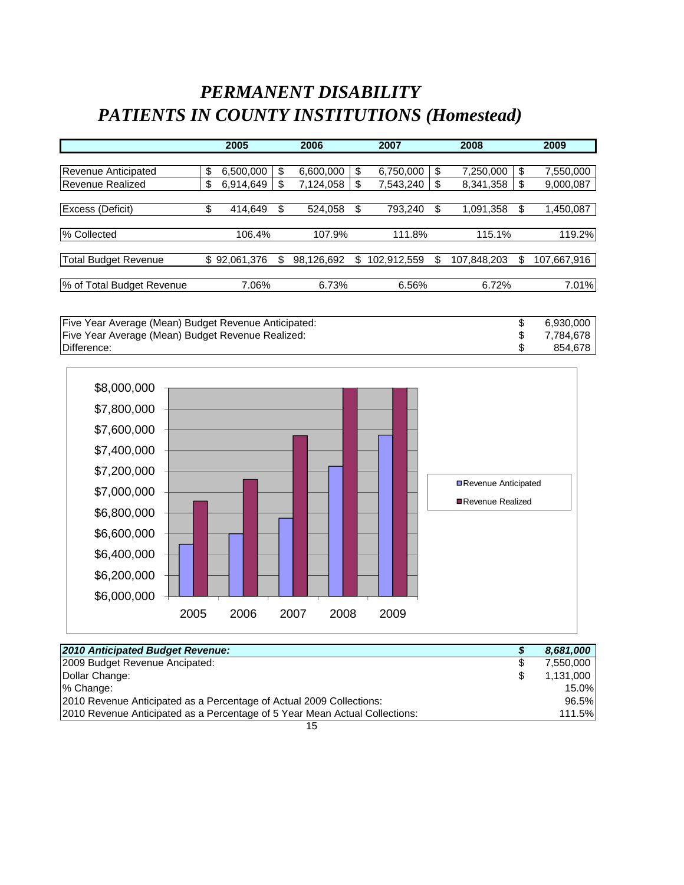# *PERMANENT DISABILITY PATIENTS IN COUNTY INSTITUTIONS (Homestead)*

|                             | 2005  |              |    | 2006       |    | 2007        | 2008   |             |        | 2009        |
|-----------------------------|-------|--------------|----|------------|----|-------------|--------|-------------|--------|-------------|
|                             |       |              |    |            |    |             |        |             |        |             |
| Revenue Anticipated         | \$    | 6,500,000    | \$ | 6,600,000  | \$ | 6,750,000   | \$     | 7,250,000   | \$     | 7,550,000   |
| Revenue Realized            | \$    | 6,914,649    |    | 7,124,058  | S  | 7,543,240   | \$.    | 8,341,358   | S      | 9,000,087   |
|                             |       |              |    |            |    |             |        |             |        |             |
| Excess (Deficit)            | \$    | 414,649      | S  | 524,058    | \$ | 793,240     | S      | 1,091,358   | \$     | 1,450,087   |
|                             |       |              |    |            |    |             |        |             |        |             |
| % Collected                 |       | 106.4%       |    | 107.9%     |    | 111.8%      | 115.1% |             | 119.2% |             |
|                             |       |              |    |            |    |             |        |             |        |             |
| <b>Total Budget Revenue</b> |       | \$92,061,376 |    | 98,126,692 | \$ | 102,912,559 |        | 107,848,203 | S      | 107,667,916 |
|                             |       |              |    |            |    |             |        |             |        |             |
| % of Total Budget Revenue   | 7.06% |              |    | 6.73%      |    | 6.56%       | 6.72%  | 7.01%       |        |             |

| Five Year Average (Mean) Budget Revenue Anticipated: | 6.930.000 |
|------------------------------------------------------|-----------|
| Five Year Average (Mean) Budget Revenue Realized:    | 7.784.678 |
| Difference:                                          | 854.678   |



| 2010 Anticipated Budget Revenue:                                            |   | 8,681,000 |
|-----------------------------------------------------------------------------|---|-----------|
|                                                                             |   |           |
| 2009 Budget Revenue Ancipated:                                              | S | 7.550.000 |
| Dollar Change:                                                              | S | 1,131,000 |
| % Change:                                                                   |   | 15.0%     |
| 2010 Revenue Anticipated as a Percentage of Actual 2009 Collections:        |   | 96.5%     |
| 2010 Revenue Anticipated as a Percentage of 5 Year Mean Actual Collections: |   | 111.5%    |
|                                                                             |   |           |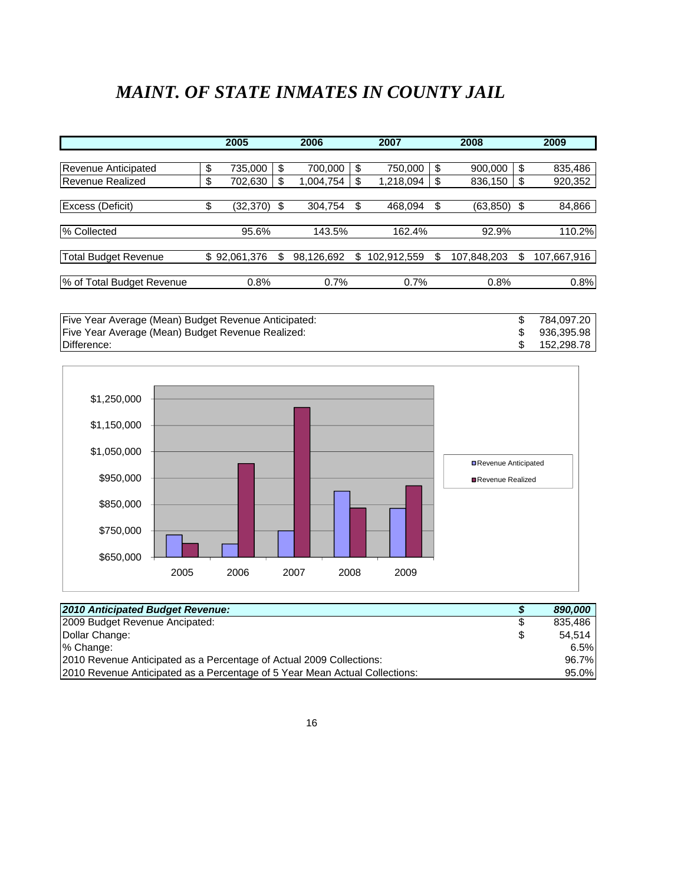# *MAINT. OF STATE INMATES IN COUNTY JAIL*

|                             | 2005           |    | 2006<br>2007 |    |             |       | 2008        |    | 2009        |
|-----------------------------|----------------|----|--------------|----|-------------|-------|-------------|----|-------------|
|                             |                |    |              |    |             |       |             |    |             |
| Revenue Anticipated         | \$<br>735,000  | \$ | 700,000      | \$ | 750,000     | \$    | 900,000     | \$ | 835,486     |
| Revenue Realized            | \$<br>702,630  | S  | 1,004,754    | \$ | 1,218,094   | S     | 836,150     | \$ | 920,352     |
|                             |                |    |              |    |             |       |             |    |             |
| Excess (Deficit)            | \$<br>(32,370) | \$ | 304,754      | \$ | 468,094     | \$    | (63,850)    | \$ | 84,866      |
|                             |                |    |              |    |             |       |             |    |             |
| % Collected                 | 95.6%          |    | 143.5%       |    | 162.4%      | 92.9% | 110.2%      |    |             |
|                             |                |    |              |    |             |       |             |    |             |
| <b>Total Budget Revenue</b> | \$92,061,376   |    | 98,126,692   | S  | 102,912,559 |       | 107,848,203 | \$ | 107,667,916 |
|                             |                |    |              |    |             |       |             |    |             |
| % of Total Budget Revenue   | 0.8%           |    | 0.7%         |    | 0.7%        | 0.8%  | 0.8%        |    |             |

Five Year Average (Mean) Budget Revenue Anticipated: <br>
Five Year Average (Mean) Budget Revenue Realized: <br>
784,097.20 \$936,395.98 \$936,395.98 Five Year Average (Mean) Budget Revenue Realized:<br>
Difference: \$152,298.78 \$152,298.78 Difference: \$ 152,298.78



| 2010 Anticipated Budget Revenue:                                            |    | 890,000 |
|-----------------------------------------------------------------------------|----|---------|
| 2009 Budget Revenue Ancipated:                                              | S  | 835.486 |
| Dollar Change:                                                              | \$ | 54.514  |
| % Change:                                                                   |    | 6.5%    |
| 2010 Revenue Anticipated as a Percentage of Actual 2009 Collections:        |    | 96.7%   |
| 2010 Revenue Anticipated as a Percentage of 5 Year Mean Actual Collections: |    | 95.0%   |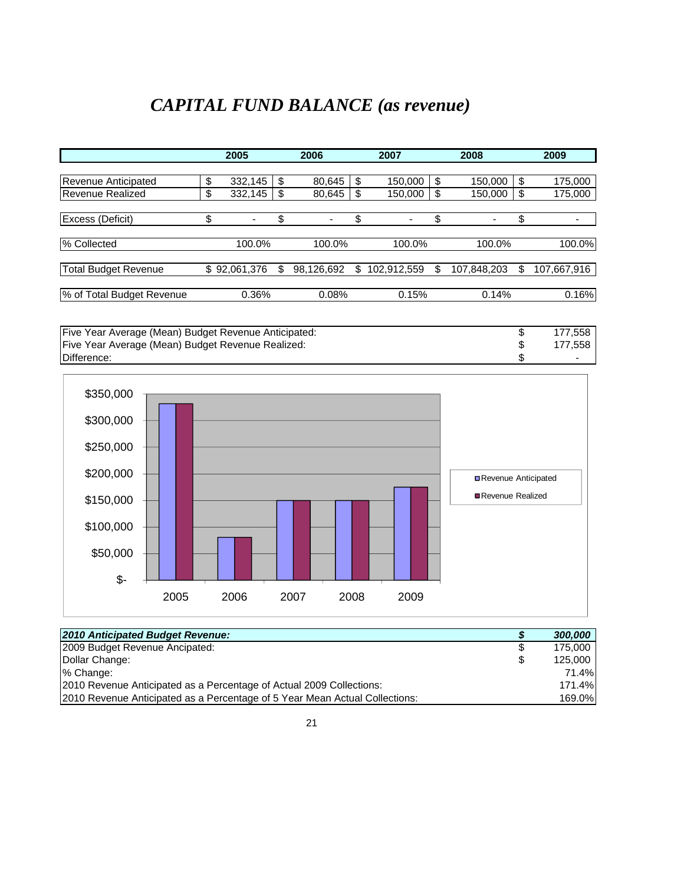# *CAPITAL FUND BALANCE (as revenue)*

|                             | 2005          |        | 2006       |        | 2007        |        | 2008        |    | 2009        |
|-----------------------------|---------------|--------|------------|--------|-------------|--------|-------------|----|-------------|
|                             |               |        |            |        |             |        |             |    |             |
| Revenue Anticipated         | \$<br>332,145 | \$     | 80,645     | \$     | 150,000     | \$     | 150,000     | \$ | 175,000     |
| <b>Revenue Realized</b>     | \$<br>332,145 | S      | 80,645     | S      | 150,000     | \$     | 150,000     | \$ | 175,000     |
| <b>Excess (Deficit)</b>     | \$            | \$     |            | \$     |             | \$     | ۰           | \$ |             |
| % Collected                 | 100.0%        | 100.0% |            | 100.0% | 100.0%      | 100.0% |             |    |             |
| <b>Total Budget Revenue</b> | \$92,061,376  | S      | 98,126,692 | \$     | 102,912,559 | S      | 107,848,203 | \$ | 107,667,916 |
| % of Total Budget Revenue   | 0.36%         |        | 0.08%      |        | 0.15%       |        | 0.14%       |    | 0.16%       |

Five Year Average (Mean) Budget Revenue Anticipated:  $\begin{array}{ccc}\n\text{5} & 177,558 \\
\text{Five Year Average (Mean) Budget Revenue Realized:} & \text{$} & 177,558 \\
\text{Difference:} & & \text{$} & 177,558\n\end{array}$ Five Year Average (Mean) Budget Revenue Realized:<br>
Difference: \$ Difference: \$ -



| 2010 Anticipated Budget Revenue:                                            | 5  | 300,000 |
|-----------------------------------------------------------------------------|----|---------|
| 2009 Budget Revenue Ancipated:                                              | S  | 175,000 |
| Dollar Change:                                                              | \$ | 125,000 |
| % Change:                                                                   |    | 71.4%   |
| 2010 Revenue Anticipated as a Percentage of Actual 2009 Collections:        |    | 171.4%  |
| 2010 Revenue Anticipated as a Percentage of 5 Year Mean Actual Collections: |    | 169.0%  |